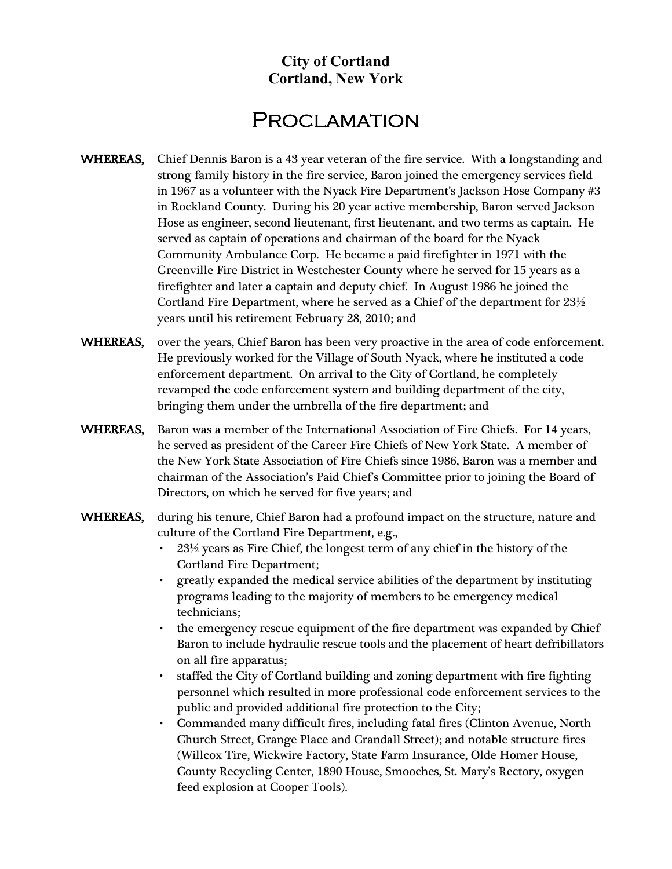## **City of Cortland Cortland, New York**

## **PROCLAMATION**

- WHEREAS, Chief Dennis Baron is a 43 year veteran of the fire service. With a longstanding and strong family history in the fire service, Baron joined the emergency services field in 1967 as a volunteer with the Nyack Fire Department's Jackson Hose Company #3 in Rockland County. During his 20 year active membership, Baron served Jackson Hose as engineer, second lieutenant, first lieutenant, and two terms as captain. He served as captain of operations and chairman of the board for the Nyack Community Ambulance Corp. He became a paid firefighter in 1971 with the Greenville Fire District in Westchester County where he served for 15 years as a firefighter and later a captain and deputy chief. In August 1986 he joined the Cortland Fire Department, where he served as a Chief of the department for 23½ years until his retirement February 28, 2010; and
- WHEREAS, over the years, Chief Baron has been very proactive in the area of code enforcement. He previously worked for the Village of South Nyack, where he instituted a code enforcement department. On arrival to the City of Cortland, he completely revamped the code enforcement system and building department of the city, bringing them under the umbrella of the fire department; and
- WHEREAS, Baron was a member of the International Association of Fire Chiefs. For 14 years, he served as president of the Career Fire Chiefs of New York State. A member of the New York State Association of Fire Chiefs since 1986, Baron was a member and chairman of the Association's Paid Chief's Committee prior to joining the Board of Directors, on which he served for five years; and
- WHEREAS, during his tenure, Chief Baron had a profound impact on the structure, nature and culture of the Cortland Fire Department, e.g.,
	- 23½ years as Fire Chief, the longest term of any chief in the history of the Cortland Fire Department;
	- greatly expanded the medical service abilities of the department by instituting programs leading to the majority of members to be emergency medical technicians;
	- the emergency rescue equipment of the fire department was expanded by Chief Baron to include hydraulic rescue tools and the placement of heart defribillators on all fire apparatus;
	- staffed the City of Cortland building and zoning department with fire fighting personnel which resulted in more professional code enforcement services to the public and provided additional fire protection to the City;
	- Commanded many difficult fires, including fatal fires (Clinton Avenue, North Church Street, Grange Place and Crandall Street); and notable structure fires (Willcox Tire, Wickwire Factory, State Farm Insurance, Olde Homer House, County Recycling Center, 1890 House, Smooches, St. Mary's Rectory, oxygen feed explosion at Cooper Tools).